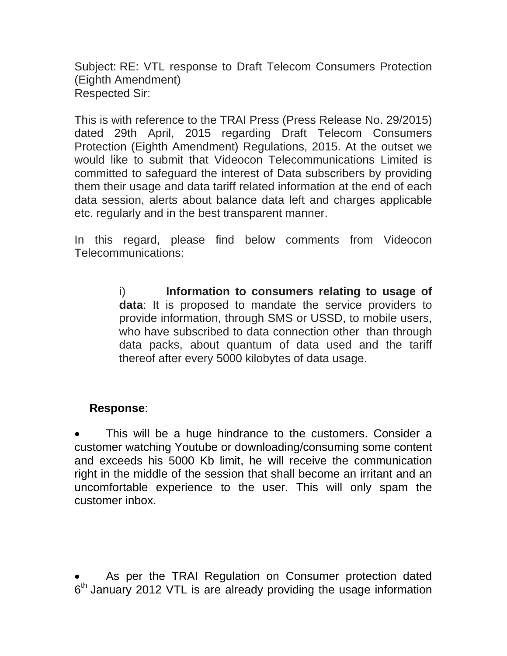Subject: RE: VTL response to Draft Telecom Consumers Protection (Eighth Amendment) Respected Sir:

This is with reference to the TRAI Press (Press Release No. 29/2015) dated 29th April, 2015 regarding Draft Telecom Consumers Protection (Eighth Amendment) Regulations, 2015. At the outset we would like to submit that Videocon Telecommunications Limited is committed to safeguard the interest of Data subscribers by providing them their usage and data tariff related information at the end of each data session, alerts about balance data left and charges applicable etc. regularly and in the best transparent manner.

In this regard, please find below comments from Videocon Telecommunications:

> i) **Information to consumers relating to usage of data**: It is proposed to mandate the service providers to provide information, through SMS or USSD, to mobile users, who have subscribed to data connection other than through data packs, about quantum of data used and the tariff thereof after every 5000 kilobytes of data usage.

## **Response**:

This will be a huge hindrance to the customers. Consider a customer watching Youtube or downloading/consuming some content and exceeds his 5000 Kb limit, he will receive the communication right in the middle of the session that shall become an irritant and an uncomfortable experience to the user. This will only spam the customer inbox.

As per the TRAI Regulation on Consumer protection dated 6<sup>th</sup> January 2012 VTL is are already providing the usage information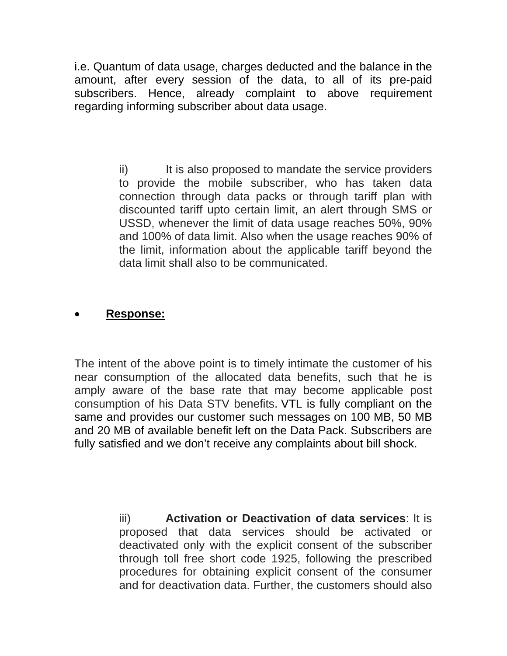i.e. Quantum of data usage, charges deducted and the balance in the amount, after every session of the data, to all of its pre-paid subscribers. Hence, already complaint to above requirement regarding informing subscriber about data usage.

> ii) It is also proposed to mandate the service providers to provide the mobile subscriber, who has taken data connection through data packs or through tariff plan with discounted tariff upto certain limit, an alert through SMS or USSD, whenever the limit of data usage reaches 50%, 90% and 100% of data limit. Also when the usage reaches 90% of the limit, information about the applicable tariff beyond the data limit shall also to be communicated.

## • **Response:**

The intent of the above point is to timely intimate the customer of his near consumption of the allocated data benefits, such that he is amply aware of the base rate that may become applicable post consumption of his Data STV benefits. VTL is fully compliant on the same and provides our customer such messages on 100 MB, 50 MB and 20 MB of available benefit left on the Data Pack. Subscribers are fully satisfied and we don't receive any complaints about bill shock.

> iii) **Activation or Deactivation of data services**: It is proposed that data services should be activated or deactivated only with the explicit consent of the subscriber through toll free short code 1925, following the prescribed procedures for obtaining explicit consent of the consumer and for deactivation data. Further, the customers should also